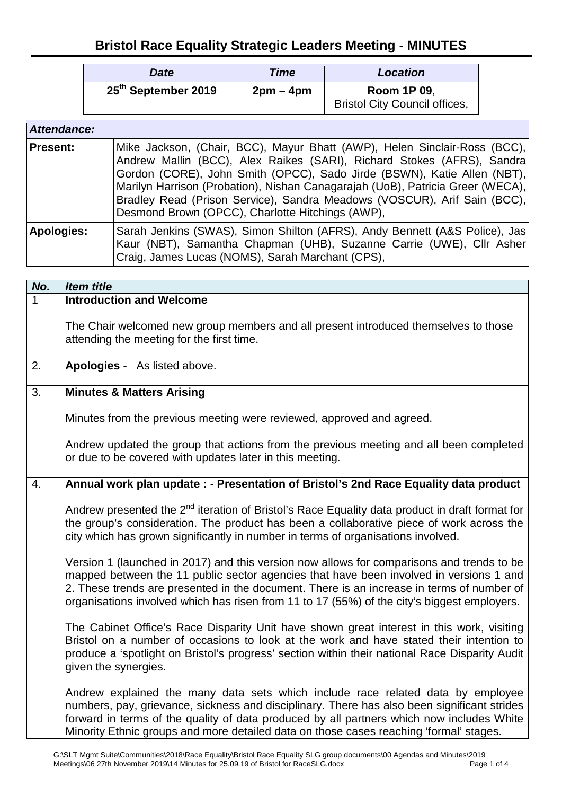## **Bristol Race Equality Strategic Leaders Meeting - MINUTES**

| <b>Date</b>                     | Time      | <b>Location</b>                                            |
|---------------------------------|-----------|------------------------------------------------------------|
| 25 <sup>th</sup> September 2019 | $2pm-4pm$ | <b>Room 1P 09,</b><br><b>Bristol City Council offices,</b> |

| Attendance:       |                                                                                                                                                                                                                                                                                                                                                                                                                                                  |
|-------------------|--------------------------------------------------------------------------------------------------------------------------------------------------------------------------------------------------------------------------------------------------------------------------------------------------------------------------------------------------------------------------------------------------------------------------------------------------|
| <b>Present:</b>   | Mike Jackson, (Chair, BCC), Mayur Bhatt (AWP), Helen Sinclair-Ross (BCC),<br>Andrew Mallin (BCC), Alex Raikes (SARI), Richard Stokes (AFRS), Sandra<br>Gordon (CORE), John Smith (OPCC), Sado Jirde (BSWN), Katie Allen (NBT),<br>Marilyn Harrison (Probation), Nishan Canagarajah (UoB), Patricia Greer (WECA),<br>Bradley Read (Prison Service), Sandra Meadows (VOSCUR), Arif Sain (BCC),<br>Desmond Brown (OPCC), Charlotte Hitchings (AWP), |
| <b>Apologies:</b> | Sarah Jenkins (SWAS), Simon Shilton (AFRS), Andy Bennett (A&S Police), Jas<br>Kaur (NBT), Samantha Chapman (UHB), Suzanne Carrie (UWE), Cllr Asher<br>Craig, James Lucas (NOMS), Sarah Marchant (CPS),                                                                                                                                                                                                                                           |

| No.              | <b>Item title</b>                                                                                                                                                                                                                                                                                                                                                               |
|------------------|---------------------------------------------------------------------------------------------------------------------------------------------------------------------------------------------------------------------------------------------------------------------------------------------------------------------------------------------------------------------------------|
|                  | <b>Introduction and Welcome</b>                                                                                                                                                                                                                                                                                                                                                 |
|                  | The Chair welcomed new group members and all present introduced themselves to those<br>attending the meeting for the first time.                                                                                                                                                                                                                                                |
| 2.               | Apologies - As listed above.                                                                                                                                                                                                                                                                                                                                                    |
| $\overline{3}$ . | <b>Minutes &amp; Matters Arising</b>                                                                                                                                                                                                                                                                                                                                            |
|                  | Minutes from the previous meeting were reviewed, approved and agreed.                                                                                                                                                                                                                                                                                                           |
|                  | Andrew updated the group that actions from the previous meeting and all been completed<br>or due to be covered with updates later in this meeting.                                                                                                                                                                                                                              |
| $\overline{4}$ . | Annual work plan update : - Presentation of Bristol's 2nd Race Equality data product                                                                                                                                                                                                                                                                                            |
|                  | Andrew presented the 2 <sup>nd</sup> iteration of Bristol's Race Equality data product in draft format for<br>the group's consideration. The product has been a collaborative piece of work across the<br>city which has grown significantly in number in terms of organisations involved.                                                                                      |
|                  | Version 1 (launched in 2017) and this version now allows for comparisons and trends to be<br>mapped between the 11 public sector agencies that have been involved in versions 1 and<br>2. These trends are presented in the document. There is an increase in terms of number of<br>organisations involved which has risen from 11 to 17 (55%) of the city's biggest employers. |
|                  | The Cabinet Office's Race Disparity Unit have shown great interest in this work, visiting<br>Bristol on a number of occasions to look at the work and have stated their intention to<br>produce a 'spotlight on Bristol's progress' section within their national Race Disparity Audit<br>given the synergies.                                                                  |
|                  | Andrew explained the many data sets which include race related data by employee<br>numbers, pay, grievance, sickness and disciplinary. There has also been significant strides<br>forward in terms of the quality of data produced by all partners which now includes White<br>Minority Ethnic groups and more detailed data on those cases reaching 'formal' stages.           |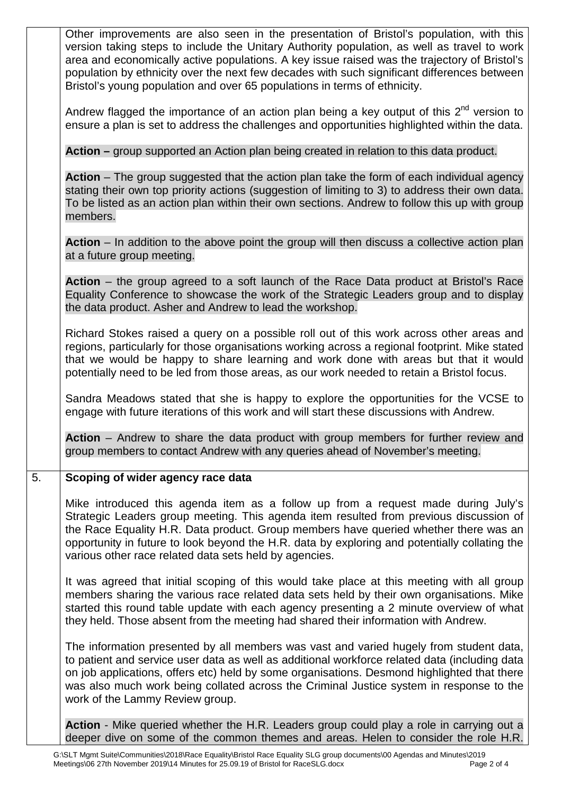|                  | Other improvements are also seen in the presentation of Bristol's population, with this<br>version taking steps to include the Unitary Authority population, as well as travel to work<br>area and economically active populations. A key issue raised was the trajectory of Bristol's<br>population by ethnicity over the next few decades with such significant differences between<br>Bristol's young population and over 65 populations in terms of ethnicity. |
|------------------|--------------------------------------------------------------------------------------------------------------------------------------------------------------------------------------------------------------------------------------------------------------------------------------------------------------------------------------------------------------------------------------------------------------------------------------------------------------------|
|                  | Andrew flagged the importance of an action plan being a key output of this $2^{nd}$ version to<br>ensure a plan is set to address the challenges and opportunities highlighted within the data.                                                                                                                                                                                                                                                                    |
|                  | Action – group supported an Action plan being created in relation to this data product.                                                                                                                                                                                                                                                                                                                                                                            |
|                  | Action – The group suggested that the action plan take the form of each individual agency<br>stating their own top priority actions (suggestion of limiting to 3) to address their own data.<br>To be listed as an action plan within their own sections. Andrew to follow this up with group<br>members.                                                                                                                                                          |
|                  | Action – In addition to the above point the group will then discuss a collective action plan<br>at a future group meeting.                                                                                                                                                                                                                                                                                                                                         |
|                  | Action – the group agreed to a soft launch of the Race Data product at Bristol's Race<br>Equality Conference to showcase the work of the Strategic Leaders group and to display<br>the data product. Asher and Andrew to lead the workshop.                                                                                                                                                                                                                        |
|                  | Richard Stokes raised a query on a possible roll out of this work across other areas and<br>regions, particularly for those organisations working across a regional footprint. Mike stated<br>that we would be happy to share learning and work done with areas but that it would<br>potentially need to be led from those areas, as our work needed to retain a Bristol focus.                                                                                    |
|                  | Sandra Meadows stated that she is happy to explore the opportunities for the VCSE to<br>engage with future iterations of this work and will start these discussions with Andrew.                                                                                                                                                                                                                                                                                   |
|                  | Action - Andrew to share the data product with group members for further review and<br>group members to contact Andrew with any queries ahead of November's meeting.                                                                                                                                                                                                                                                                                               |
| $\overline{5}$ . | Scoping of wider agency race data                                                                                                                                                                                                                                                                                                                                                                                                                                  |
|                  | Mike introduced this agenda item as a follow up from a request made during July's<br>Strategic Leaders group meeting. This agenda item resulted from previous discussion of<br>the Race Equality H.R. Data product. Group members have queried whether there was an<br>opportunity in future to look beyond the H.R. data by exploring and potentially collating the<br>various other race related data sets held by agencies.                                     |
|                  | It was agreed that initial scoping of this would take place at this meeting with all group<br>members sharing the various race related data sets held by their own organisations. Mike<br>started this round table update with each agency presenting a 2 minute overview of what<br>they held. Those absent from the meeting had shared their information with Andrew.                                                                                            |
|                  | The information presented by all members was vast and varied hugely from student data,<br>to patient and service user data as well as additional workforce related data (including data<br>on job applications, offers etc) held by some organisations. Desmond highlighted that there<br>was also much work being collated across the Criminal Justice system in response to the<br>work of the Lammy Review group.                                               |
|                  | Action - Mike queried whether the H.R. Leaders group could play a role in carrying out a<br>deeper dive on some of the common themes and areas. Helen to consider the role H.R.                                                                                                                                                                                                                                                                                    |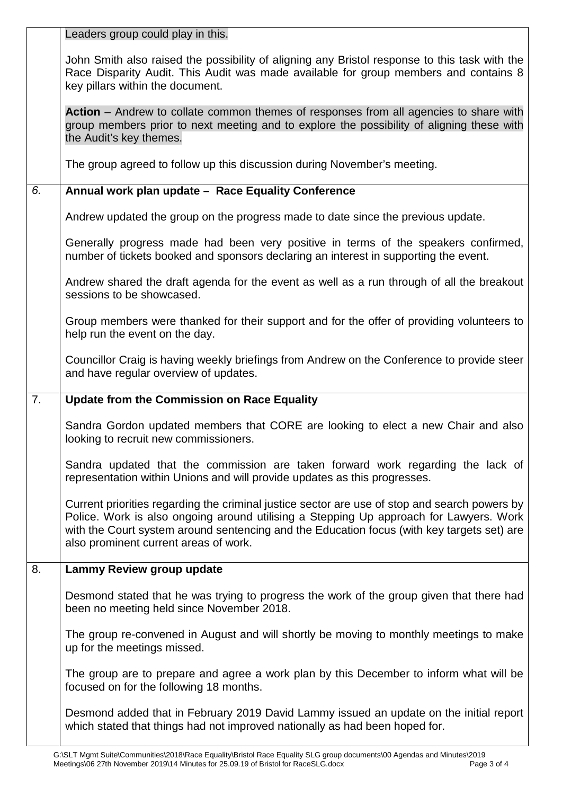|    | Leaders group could play in this.                                                                                                                                                                                                                                                                                              |
|----|--------------------------------------------------------------------------------------------------------------------------------------------------------------------------------------------------------------------------------------------------------------------------------------------------------------------------------|
|    | John Smith also raised the possibility of aligning any Bristol response to this task with the<br>Race Disparity Audit. This Audit was made available for group members and contains 8<br>key pillars within the document.                                                                                                      |
|    | Action – Andrew to collate common themes of responses from all agencies to share with<br>group members prior to next meeting and to explore the possibility of aligning these with<br>the Audit's key themes.                                                                                                                  |
|    | The group agreed to follow up this discussion during November's meeting.                                                                                                                                                                                                                                                       |
| 6. | Annual work plan update - Race Equality Conference                                                                                                                                                                                                                                                                             |
|    | Andrew updated the group on the progress made to date since the previous update.                                                                                                                                                                                                                                               |
|    | Generally progress made had been very positive in terms of the speakers confirmed,<br>number of tickets booked and sponsors declaring an interest in supporting the event.                                                                                                                                                     |
|    | Andrew shared the draft agenda for the event as well as a run through of all the breakout<br>sessions to be showcased.                                                                                                                                                                                                         |
|    | Group members were thanked for their support and for the offer of providing volunteers to<br>help run the event on the day.                                                                                                                                                                                                    |
|    | Councillor Craig is having weekly briefings from Andrew on the Conference to provide steer<br>and have regular overview of updates.                                                                                                                                                                                            |
|    |                                                                                                                                                                                                                                                                                                                                |
| 7. | <b>Update from the Commission on Race Equality</b>                                                                                                                                                                                                                                                                             |
|    | Sandra Gordon updated members that CORE are looking to elect a new Chair and also<br>looking to recruit new commissioners.                                                                                                                                                                                                     |
|    | Sandra updated that the commission are taken forward work regarding the lack of<br>representation within Unions and will provide updates as this progresses.                                                                                                                                                                   |
|    | Current priorities regarding the criminal justice sector are use of stop and search powers by<br>Police. Work is also ongoing around utilising a Stepping Up approach for Lawyers. Work<br>with the Court system around sentencing and the Education focus (with key targets set) are<br>also prominent current areas of work. |
| 8. | Lammy Review group update                                                                                                                                                                                                                                                                                                      |
|    | Desmond stated that he was trying to progress the work of the group given that there had<br>been no meeting held since November 2018.                                                                                                                                                                                          |
|    | The group re-convened in August and will shortly be moving to monthly meetings to make<br>up for the meetings missed.                                                                                                                                                                                                          |
|    | The group are to prepare and agree a work plan by this December to inform what will be<br>focused on for the following 18 months.                                                                                                                                                                                              |